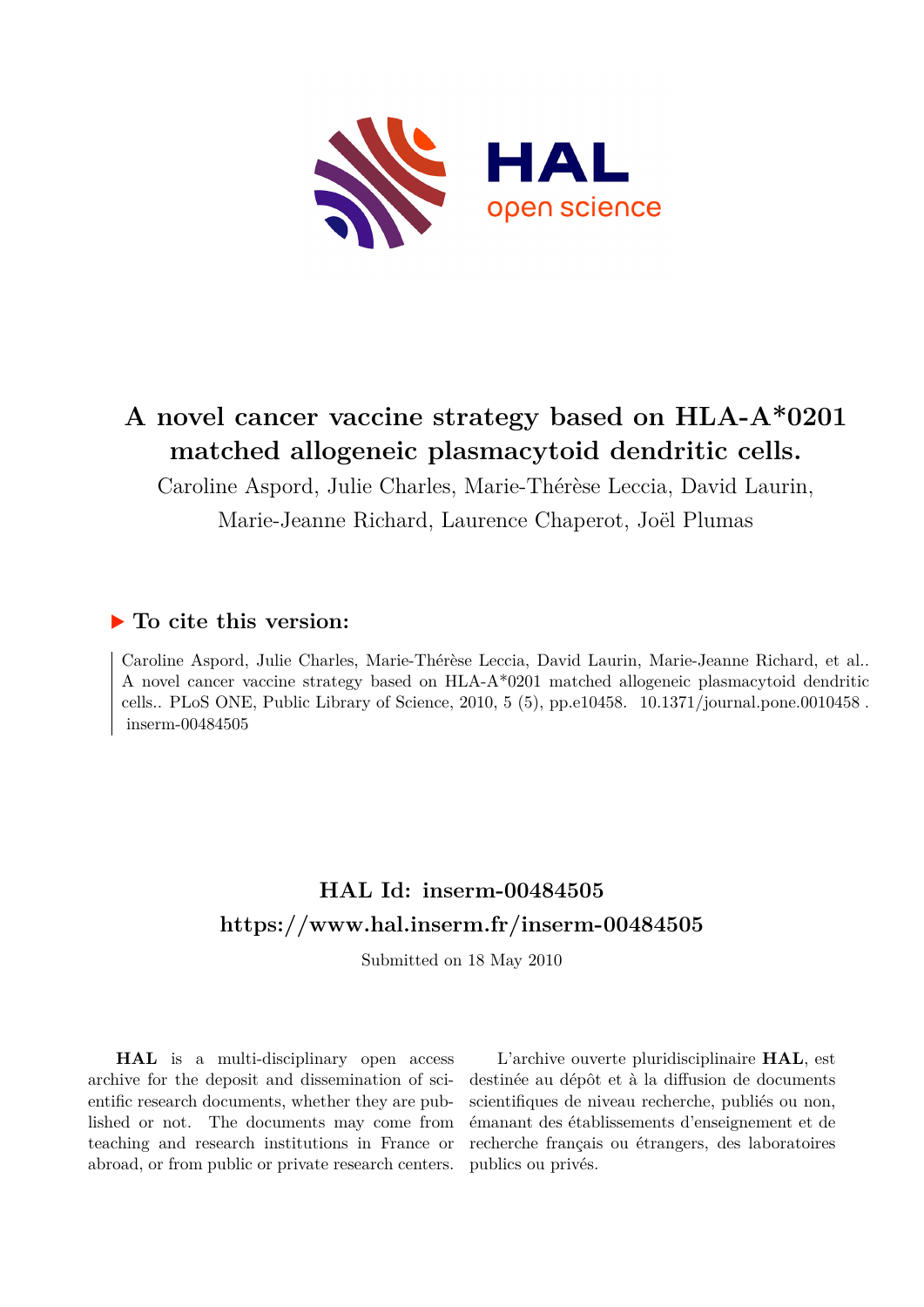

## **A novel cancer vaccine strategy based on HLA-A\*0201 matched allogeneic plasmacytoid dendritic cells.**

Caroline Aspord, Julie Charles, Marie-Thérèse Leccia, David Laurin, Marie-Jeanne Richard, Laurence Chaperot, Joël Plumas

## **To cite this version:**

Caroline Aspord, Julie Charles, Marie-Thérèse Leccia, David Laurin, Marie-Jeanne Richard, et al.. A novel cancer vaccine strategy based on HLA-A\*0201 matched allogeneic plasmacytoid dendritic cells.. PLoS ONE, Public Library of Science, 2010, 5 (5), pp.e10458. 10.1371/journal.pone.0010458.  $inserm-00484505$ 

## **HAL Id: inserm-00484505 <https://www.hal.inserm.fr/inserm-00484505>**

Submitted on 18 May 2010

**HAL** is a multi-disciplinary open access archive for the deposit and dissemination of scientific research documents, whether they are published or not. The documents may come from teaching and research institutions in France or abroad, or from public or private research centers.

L'archive ouverte pluridisciplinaire **HAL**, est destinée au dépôt et à la diffusion de documents scientifiques de niveau recherche, publiés ou non, émanant des établissements d'enseignement et de recherche français ou étrangers, des laboratoires publics ou privés.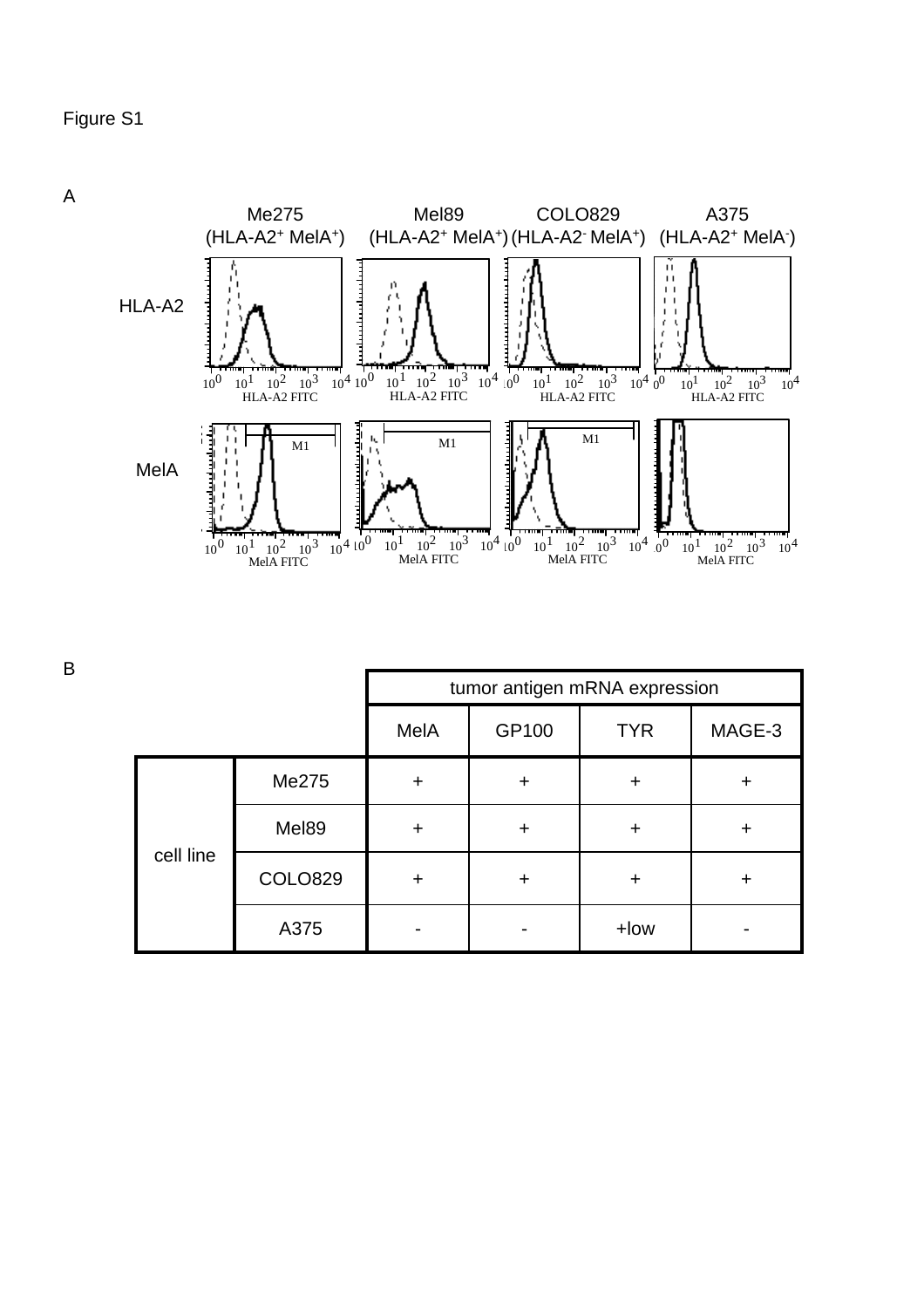

|           |                | tumor antigen mRNA expression |           |            |        |
|-----------|----------------|-------------------------------|-----------|------------|--------|
|           |                | MelA                          | GP100     | <b>TYR</b> | MAGE-3 |
| cell line | Me275          | ÷                             | +         | +          | ٠      |
|           | Mel89          |                               | +         | ┿          | ┿      |
|           | <b>COLO829</b> | $\ddot{}$                     | $\ddot{}$ | ÷          | +      |
|           | A375           |                               |           | +low       |        |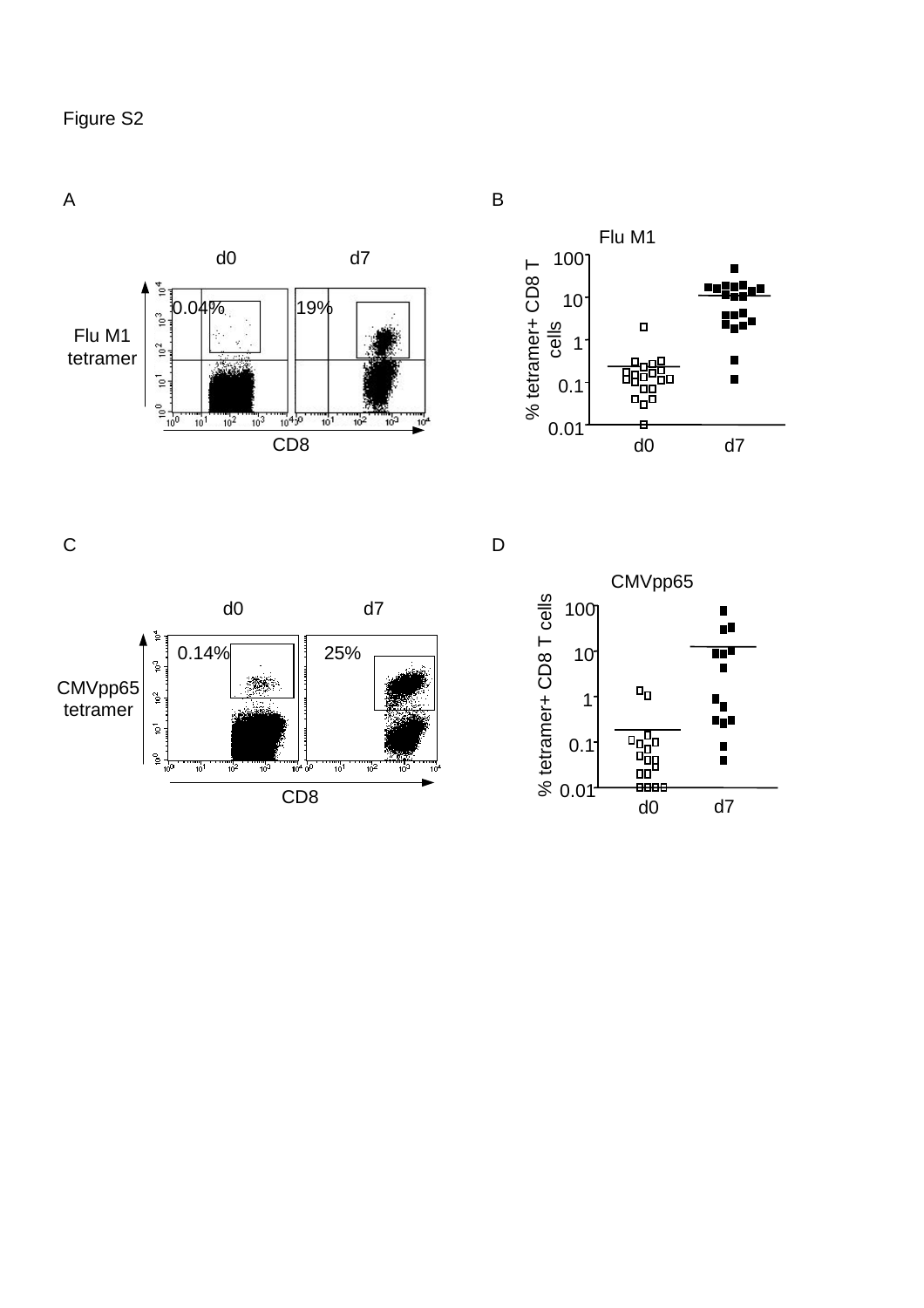A





 $\mathsf{C}$ 



 $\overline{D}$ 



B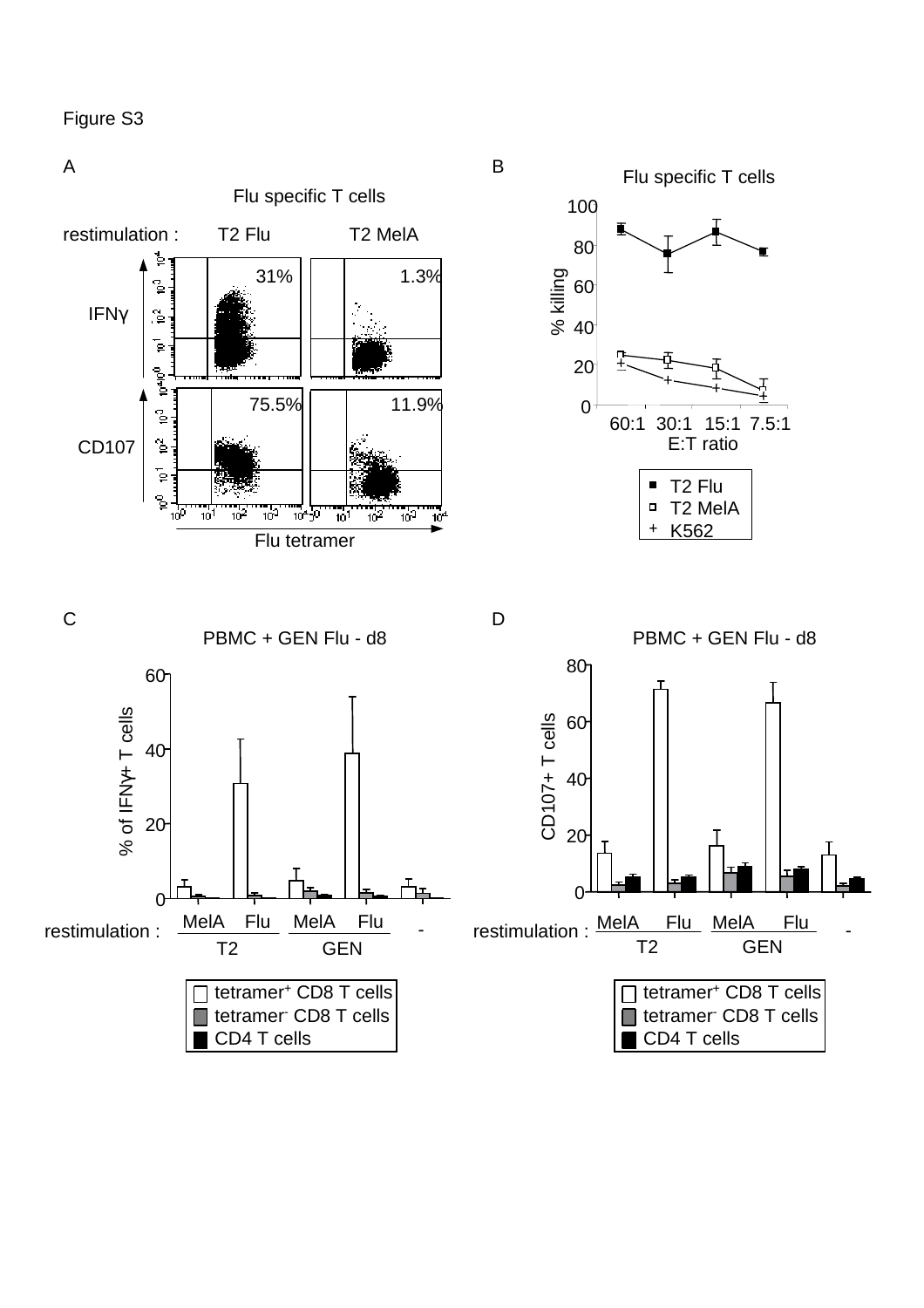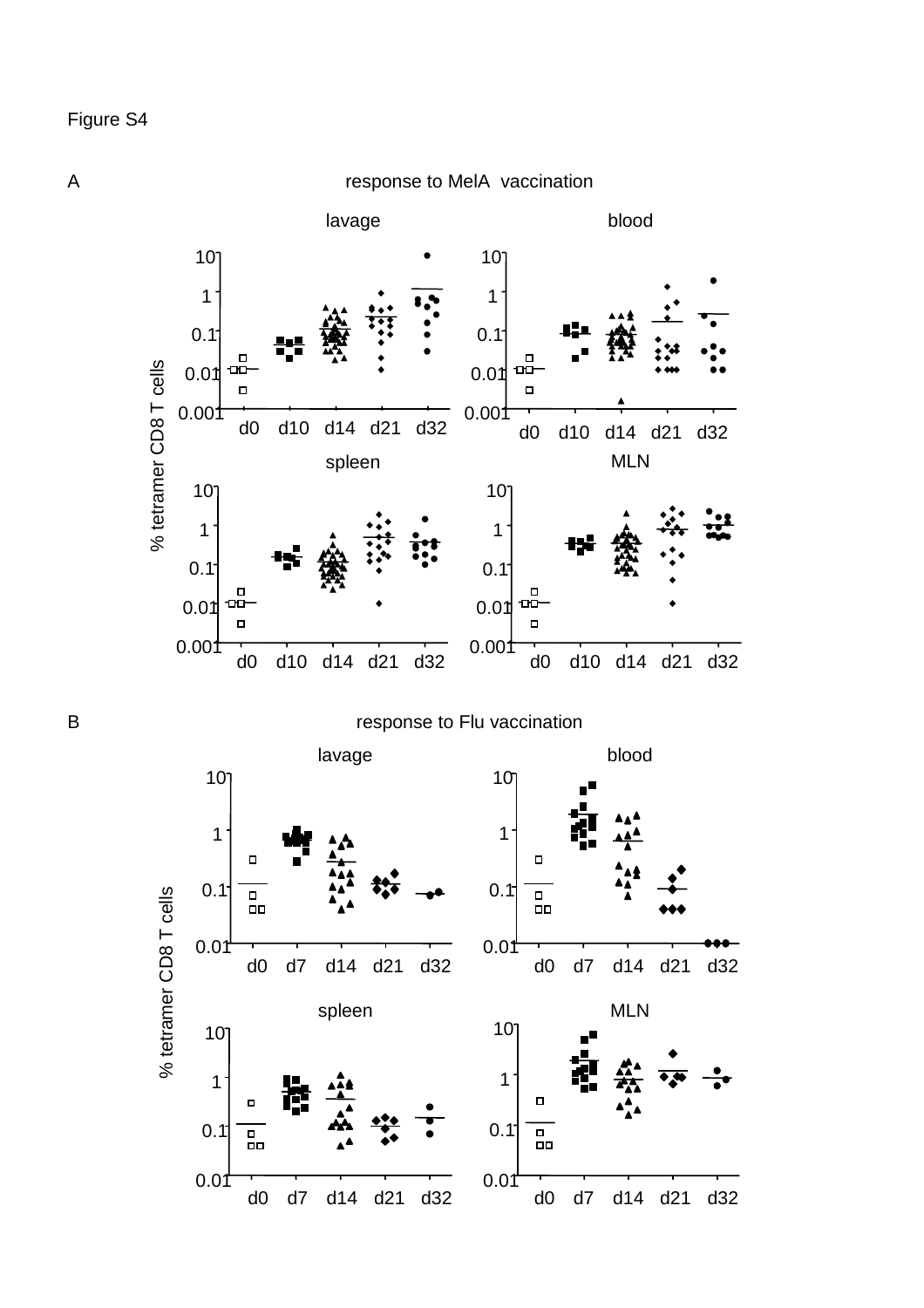response to MelA vaccination



A

B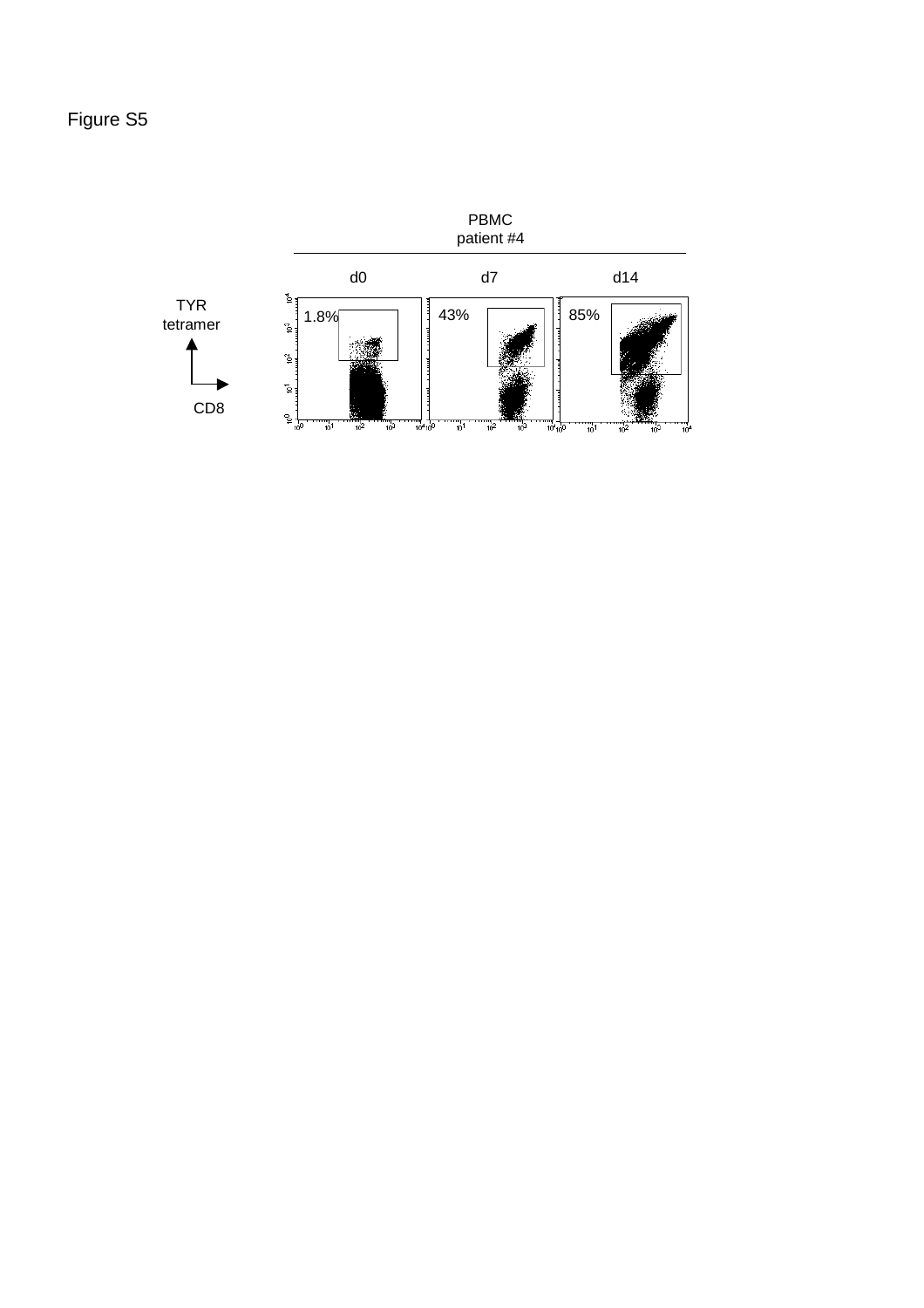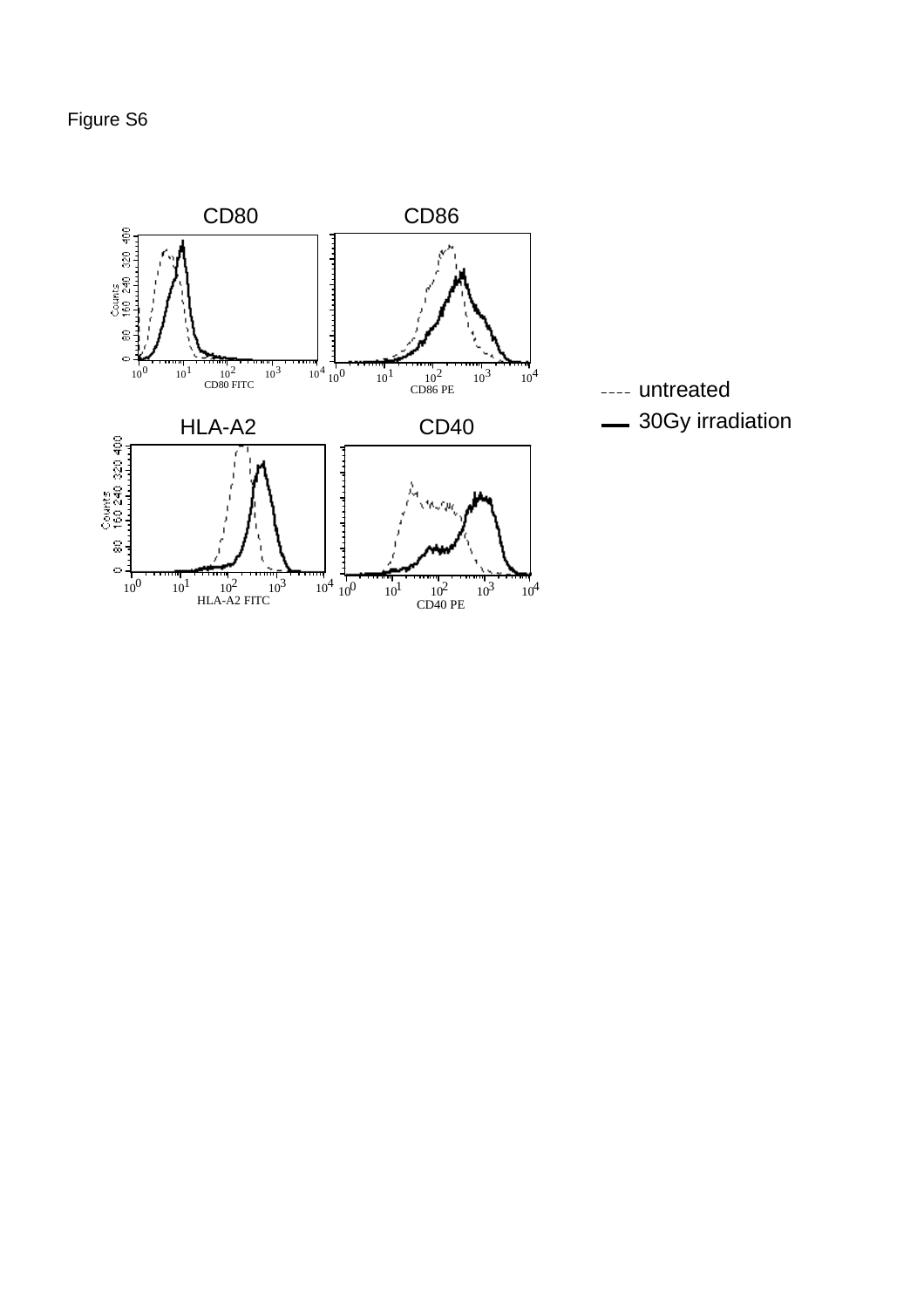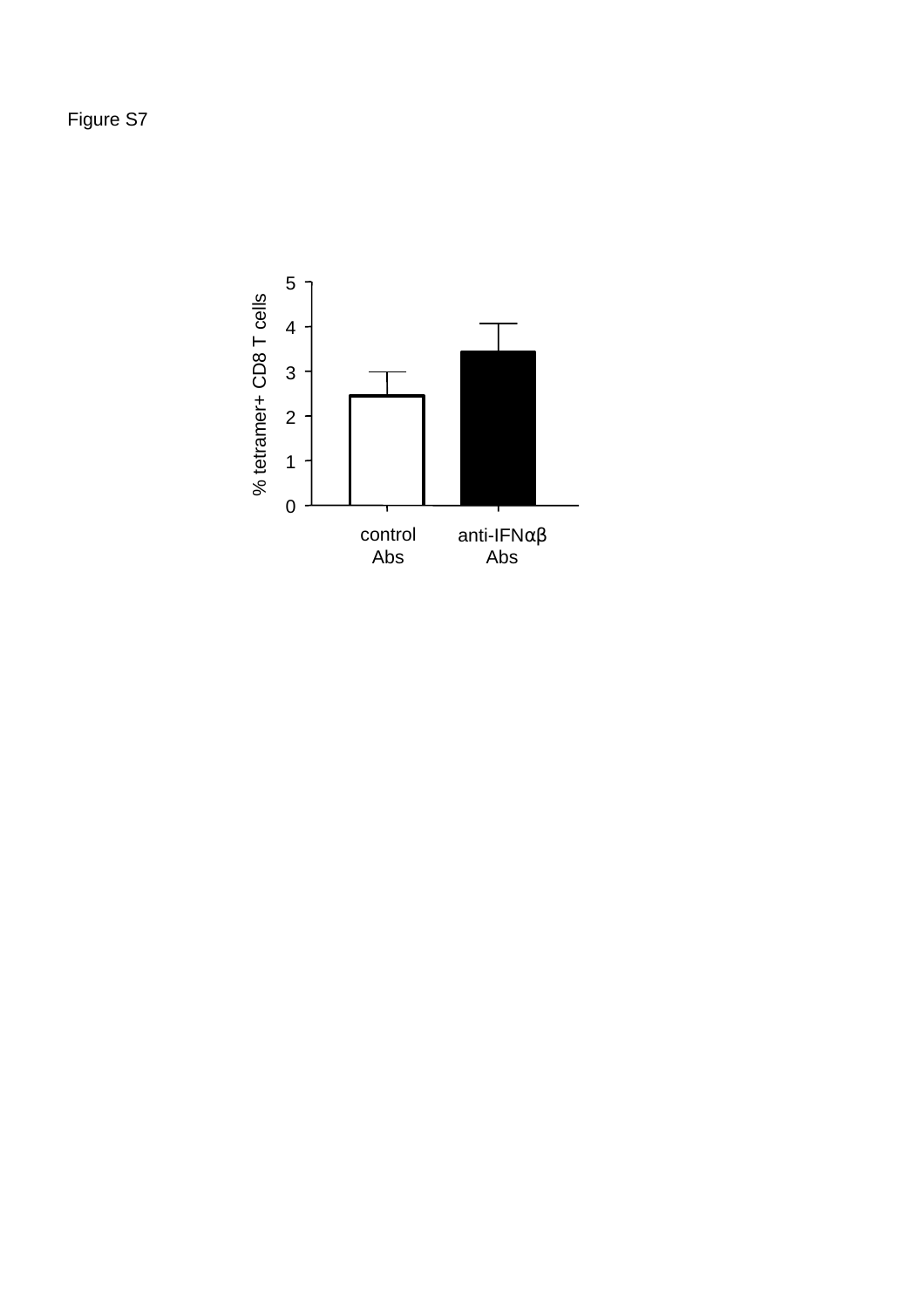Figure S7